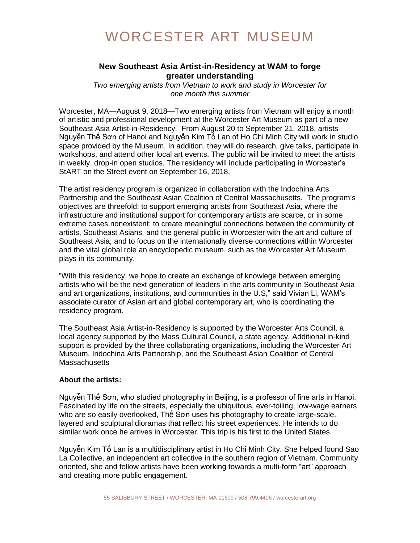## WORCESTER ART MUSEUM

## **New Southeast Asia Artist-in-Residency at WAM to forge greater understanding**

*Two emerging artists from Vietnam to work and study in Worcester for one month this summer*

Worcester, MA—August 9, 2018—Two emerging artists from Vietnam will enjoy a month of artistic and professional development at the Worcester Art Museum as part of a new Southeast Asia Artist-in-Residency. From August 20 to September 21, 2018, artists Nguyễn Thế Sơn of Hanoi and Nguyễn Kim Tố Lan of Ho Chi Minh City will work in studio space provided by the Museum. In addition, they will do research, give talks, participate in workshops, and attend other local art events. The public will be invited to meet the artists in weekly, drop-in open studios. The residency will include participating in Worcester's StART on the Street event on September 16, 2018.

The artist residency program is organized in collaboration with the Indochina Arts Partnership and the Southeast Asian Coalition of Central Massachusetts. The program's objectives are threefold: to support emerging artists from Southeast Asia, where the infrastructure and institutional support for contemporary artists are scarce, or in some extreme cases nonexistent; to create meaningful connections between the community of artists, Southeast Asians, and the general public in Worcester with the art and culture of Southeast Asia; and to focus on the internationally diverse connections within Worcester and the vital global role an encyclopedic museum, such as the Worcester Art Museum, plays in its community.

"With this residency, we hope to create an exchange of knowlege between emerging artists who will be the next generation of leaders in the arts community in Southeast Asia and art organizations, institutions, and communities in the U.S," said Vivian Li, WAM's associate curator of Asian art and global contemporary art, who is coordinating the residency program.

The Southeast Asia Artist-in-Residency is supported by the Worcester Arts Council, a local agency supported by the Mass Cultural Council, a state agency. Additional in-kind support is provided by the three collaborating organizations, including the Worcester Art Museum, Indochina Arts Partnership, and the Southeast Asian Coalition of Central **Massachusetts** 

## **About the artists:**

Nguyễn Thế Sơn, who studied photography in Beijing, is a professor of fine arts in Hanoi. Fascinated by life on the streets, especially the ubiquitous, ever-toiling, low-wage earners who are so easily overlooked, Thế Sơn uses his photography to create large-scale, layered and sculptural dioramas that reflect his street experiences. He intends to do similar work once he arrives in Worcester. This trip is his first to the United States.

Nguyễn Kim Tố Lan is a multidisciplinary artist in Ho Chi Minh City. She helped found Sao La Collective, an independent art collective in the southern region of Vietnam. Community oriented, she and fellow artists have been working towards a multi-form "art" approach and creating more public engagement.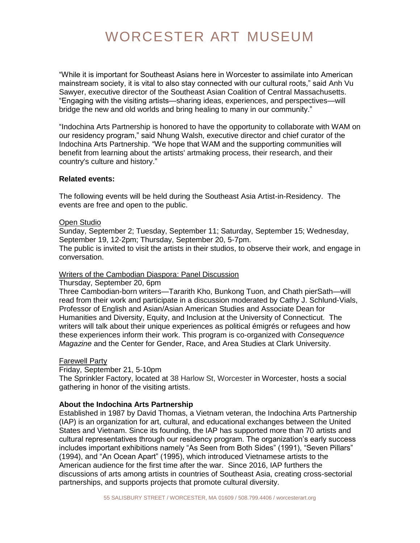# WORCESTER ART MUSEUM

"While it is important for Southeast Asians here in Worcester to assimilate into American mainstream society, it is vital to also stay connected with our cultural roots," said Anh Vu Sawyer, executive director of the Southeast Asian Coalition of Central Massachusetts. "Engaging with the visiting artists—sharing ideas, experiences, and perspectives—will bridge the new and old worlds and bring healing to many in our community."

"Indochina Arts Partnership is honored to have the opportunity to collaborate with WAM on our residency program," said Nhung Walsh, executive director and chief curator of the Indochina Arts Partnership. "We hope that WAM and the supporting communities will benefit from learning about the artists' artmaking process, their research, and their country's culture and history."

## **Related events:**

The following events will be held during the Southeast Asia Artist-in-Residency. The events are free and open to the public.

#### Open Studio

Sunday, September 2; Tuesday, September 11; Saturday, September 15; Wednesday, September 19, 12-2pm; Thursday, September 20, 5-7pm.

The public is invited to visit the artists in their studios, to observe their work, and engage in conversation.

## Writers of the Cambodian Diaspora: Panel Discussion

Thursday, September 20, 6pm

Three Cambodian-born writers—Tararith Kho, Bunkong Tuon, and Chath pierSath—will read from their work and participate in a discussion moderated by Cathy J. Schlund-Vials, Professor of English and Asian/Asian American Studies and Associate Dean for Humanities and Diversity, Equity, and Inclusion at the University of Connecticut. The writers will talk about their unique experiences as political émigrés or refugees and how these experiences inform their work. This program is co-organized with *Consequence Magazine* and the Center for Gender, Race, and Area Studies at Clark University.

#### Farewell Party

Friday, September 21, 5-10pm

The Sprinkler Factory, located at 38 Harlow St, Worcester in Worcester, hosts a social gathering in honor of the visiting artists.

## **About the Indochina Arts Partnership**

Established in 1987 by David Thomas, a Vietnam veteran, the Indochina Arts Partnership (IAP) is an organization for art, cultural, and educational exchanges between the United States and Vietnam. Since its founding, the IAP has supported more than 70 artists and cultural representatives through our residency program. The organization's early success includes important exhibitions namely "As Seen from Both Sides" (1991), "Seven Pillars" (1994), and "An Ocean Apart" (1995), which introduced Vietnamese artists to the American audience for the first time after the war. Since 2016, IAP furthers the discussions of arts among artists in countries of Southeast Asia, creating cross-sectorial partnerships, and supports projects that promote cultural diversity.